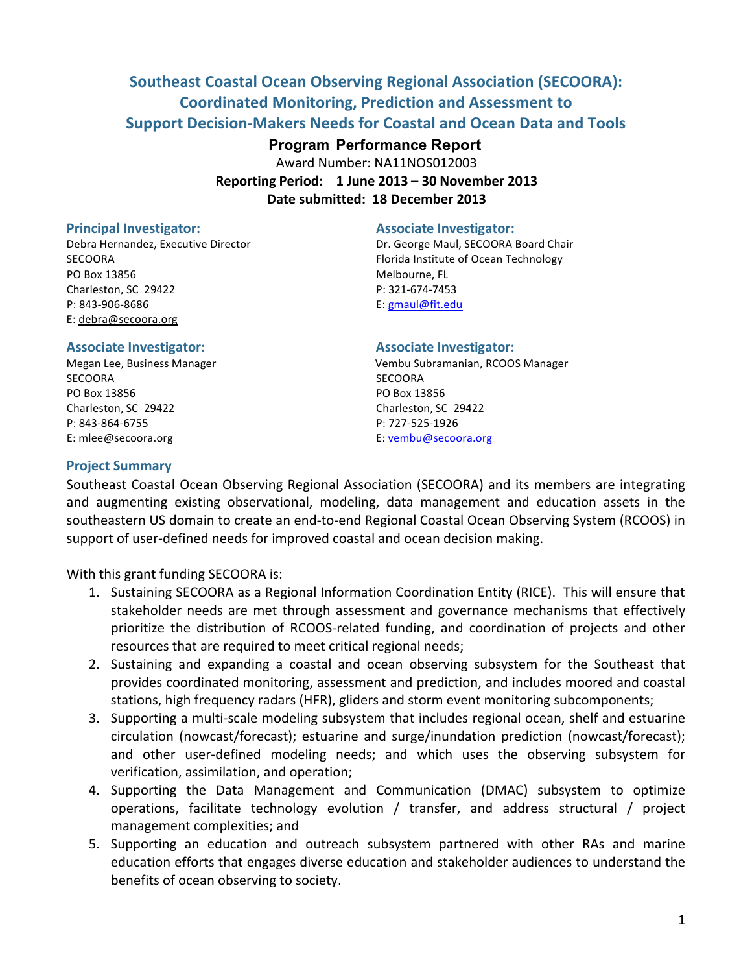# **Southeast Coastal Ocean Observing Regional Association (SECOORA): Coordinated Monitoring, Prediction and Assessment to Support Decision-Makers Needs for Coastal and Ocean Data and Tools**

# **Program Performance Report**

Award Number: NA11NOS012003 **Reporting Period:)) 1 June 2013 – 30 November)2013** Date submitted: 18 December 2013

#### **Principal)Investigator:) Associate Investigator:**

PO Box 13856 Melbourne, FL Charleston, SC 29422 P: 321-674-7453 P: 843-906-8686 **E:** gmaul@fit.edu E: debra@secoora.org

## **Associate Investigator: Associate Investigator:**

SECOORA SECOORA PO Box 13856 PO Box 13856 Charleston, SC 29422 Charleston, SC 29422 P: 843-864-6755 P: 727-525-1926 E: mlee@secoora.org example and the E: vembu@secoora.org

Debra Hernandez, Executive Director **Dr. George Maul, SECOORA Board Chair** SECOORA **Florida Institute of Ocean Technology** 

Megan Lee, Business Manager  $\qquad \qquad \qquad$  Vembu Subramanian, RCOOS Manager

## **Project Summary**

Southeast Coastal Ocean Observing Regional Association (SECOORA) and its members are integrating and augmenting existing observational, modeling, data management and education assets in the southeastern US domain to create an end-to-end Regional Coastal Ocean Observing System (RCOOS) in support of user-defined needs for improved coastal and ocean decision making.

With this grant funding SECOORA is:

- 1. Sustaining SECOORA as a Regional Information Coordination Entity (RICE). This will ensure that stakeholder needs are met through assessment and governance mechanisms that effectively prioritize the distribution of RCOOS-related funding, and coordination of projects and other resources that are required to meet critical regional needs;
- 2. Sustaining and expanding a coastal and ocean observing subsystem for the Southeast that provides coordinated monitoring, assessment and prediction, and includes moored and coastal stations, high frequency radars (HFR), gliders and storm event monitoring subcomponents;
- 3. Supporting a multi-scale modeling subsystem that includes regional ocean, shelf and estuarine circulation (nowcast/forecast); estuarine and surge/inundation prediction (nowcast/forecast); and other user-defined modeling needs; and which uses the observing subsystem for verification, assimilation, and operation;
- 4. Supporting the Data Management and Communication (DMAC) subsystem to optimize operations, facilitate technology evolution / transfer, and address structural / project management complexities; and
- 5. Supporting an education and outreach subsystem partnered with other RAs and marine education efforts that engages diverse education and stakeholder audiences to understand the benefits of ocean observing to society.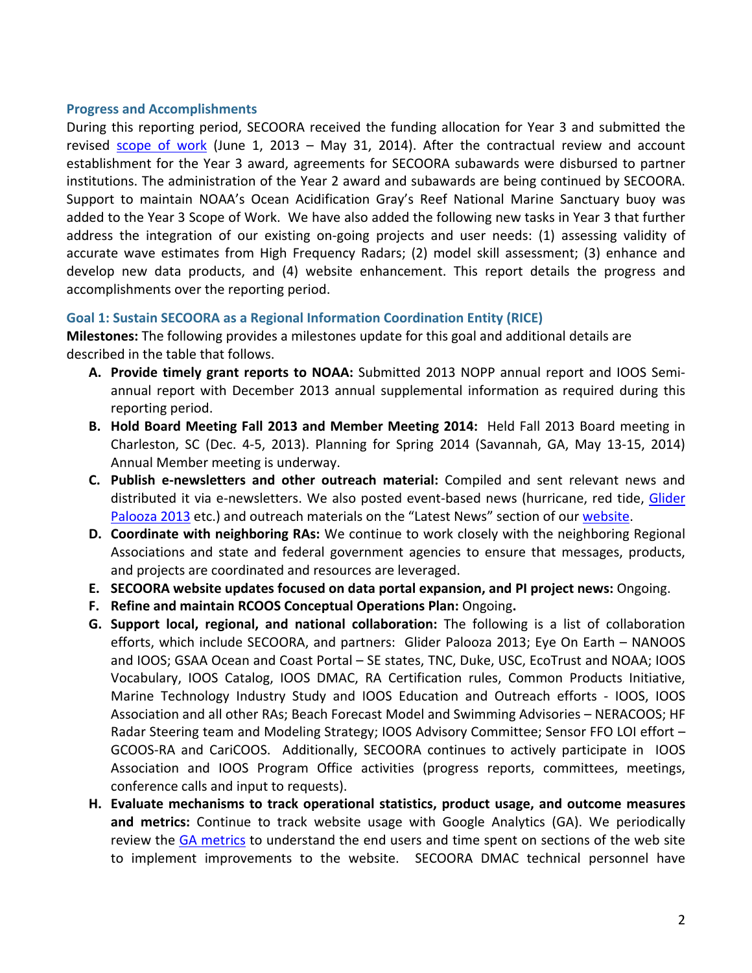## **Progress and Accomplishments**

During this reporting period, SECOORA received the funding allocation for Year 3 and submitted the revised scope of work (June 1, 2013 – May 31, 2014). After the contractual review and account establishment for the Year 3 award, agreements for SECOORA subawards were disbursed to partner institutions. The administration of the Year 2 award and subawards are being continued by SECOORA. Support to maintain NOAA's Ocean Acidification Gray's Reef National Marine Sanctuary buoy was added to the Year 3 Scope of Work. We have also added the following new tasks in Year 3 that further address the integration of our existing on-going projects and user needs: (1) assessing validity of accurate wave estimates from High Frequency Radars; (2) model skill assessment; (3) enhance and develop new data products, and (4) website enhancement. This report details the progress and accomplishments over the reporting period.

# **Goal 1: Sustain SECOORA as a Regional Information Coordination Entity (RICE)**

**Milestones:** The following provides a milestones update for this goal and additional details are described in the table that follows.

- A. Provide timely grant reports to NOAA: Submitted 2013 NOPP annual report and IOOS Semiannual report with December 2013 annual supplemental information as required during this reporting period.
- **B.** Hold Board Meeting Fall 2013 and Member Meeting 2014: Held Fall 2013 Board meeting in Charleston, SC (Dec. 4-5, 2013). Planning for Spring 2014 (Savannah, GA, May 13-15, 2014) Annual Member meeting is underway.
- **C.** Publish e-newsletters and other outreach material: Compiled and sent relevant news and distributed it via e-newsletters. We also posted event-based news (hurricane, red tide, Glider Palooza 2013 etc.) and outreach materials on the "Latest News" section of our website.
- **D.** Coordinate with neighboring RAs: We continue to work closely with the neighboring Regional Associations and state and federal government agencies to ensure that messages, products, and projects are coordinated and resources are leveraged.
- **E.** SECOORA website updates focused on data portal expansion, and PI project news: Ongoing.
- **F.** Refine and maintain RCOOS Conceptual Operations Plan: Ongoing.
- **G.** Support local, regional, and national collaboration: The following is a list of collaboration efforts, which include SECOORA, and partners: Glider Palooza 2013; Eye On Earth – NANOOS and IOOS; GSAA Ocean and Coast Portal – SE states, TNC, Duke, USC, EcoTrust and NOAA; IOOS Vocabulary, IOOS Catalog, IOOS DMAC, RA Certification rules, Common Products Initiative, Marine Technology Industry Study and IOOS Education and Outreach efforts - IOOS, IOOS Association and all other RAs; Beach Forecast Model and Swimming Advisories – NERACOOS; HF Radar Steering team and Modeling Strategy; IOOS Advisory Committee; Sensor FFO LOI effort – GCOOS-RA and CariCOOS. Additionally, SECOORA continues to actively participate in IOOS Association and IOOS Program Office activities (progress reports, committees, meetings, conference calls and input to requests).
- H. Evaluate mechanisms to track operational statistics, product usage, and outcome measures **and metrics:** Continue to track website usage with Google Analytics (GA). We periodically review the GA metrics to understand the end users and time spent on sections of the web site to implement improvements to the website. SECOORA DMAC technical personnel have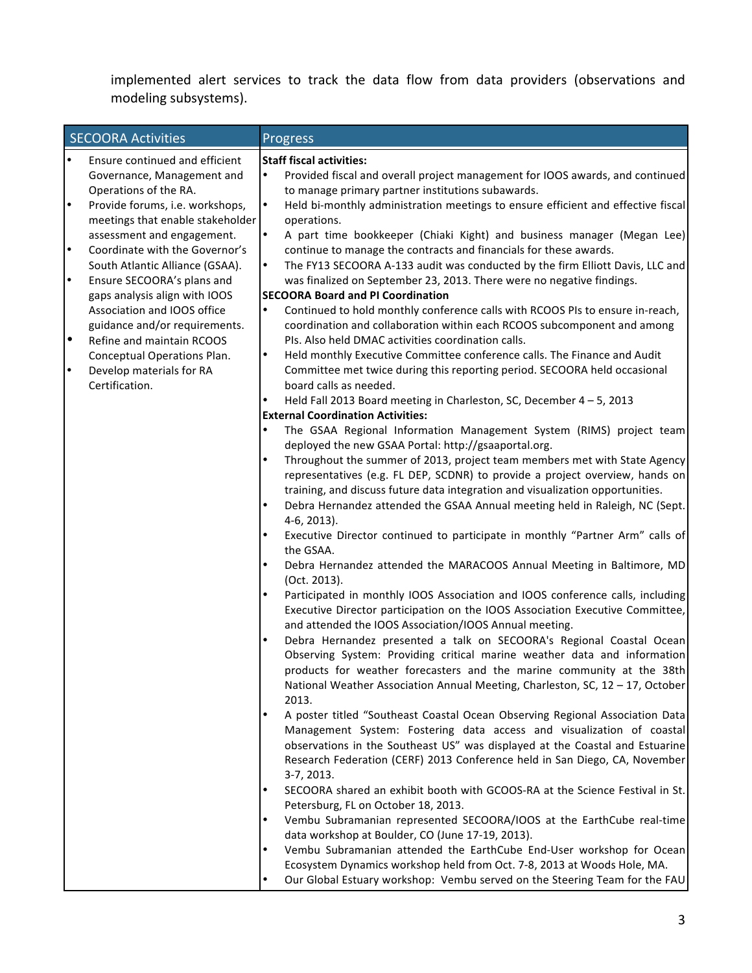implemented alert services to track the data flow from data providers (observations and modeling subsystems).

|           | <b>SECOORA Activities</b>        |           | <b>Progress</b>                                                                  |
|-----------|----------------------------------|-----------|----------------------------------------------------------------------------------|
| $\bullet$ | Ensure continued and efficient   |           | <b>Staff fiscal activities:</b>                                                  |
|           | Governance, Management and       | $\bullet$ | Provided fiscal and overall project management for IOOS awards, and continued    |
|           | Operations of the RA.            |           | to manage primary partner institutions subawards.                                |
| l.        | Provide forums, i.e. workshops,  | $\bullet$ | Held bi-monthly administration meetings to ensure efficient and effective fiscal |
|           | meetings that enable stakeholder |           | operations.                                                                      |
|           | assessment and engagement.       | $\bullet$ | A part time bookkeeper (Chiaki Kight) and business manager (Megan Lee)           |
| $\cdot$   | Coordinate with the Governor's   |           | continue to manage the contracts and financials for these awards.                |
|           | South Atlantic Alliance (GSAA).  | $\bullet$ | The FY13 SECOORA A-133 audit was conducted by the firm Elliott Davis, LLC and    |
| $\cdot$   | Ensure SECOORA's plans and       |           | was finalized on September 23, 2013. There were no negative findings.            |
|           | gaps analysis align with IOOS    |           | <b>SECOORA Board and PI Coordination</b>                                         |
|           | Association and IOOS office      | $\bullet$ | Continued to hold monthly conference calls with RCOOS PIs to ensure in-reach,    |
|           | guidance and/or requirements.    |           | coordination and collaboration within each RCOOS subcomponent and among          |
| l•        | Refine and maintain RCOOS        |           | PIs. Also held DMAC activities coordination calls.                               |
|           | Conceptual Operations Plan.      | $\bullet$ | Held monthly Executive Committee conference calls. The Finance and Audit         |
| ŀ         | Develop materials for RA         |           | Committee met twice during this reporting period. SECOORA held occasional        |
|           | Certification.                   |           | board calls as needed.                                                           |
|           |                                  |           | Held Fall 2013 Board meeting in Charleston, SC, December 4 - 5, 2013             |
|           |                                  |           | <b>External Coordination Activities:</b>                                         |
|           |                                  |           | The GSAA Regional Information Management System (RIMS) project team              |
|           |                                  |           | deployed the new GSAA Portal: http://gsaaportal.org.                             |
|           |                                  | $\bullet$ | Throughout the summer of 2013, project team members met with State Agency        |
|           |                                  |           | representatives (e.g. FL DEP, SCDNR) to provide a project overview, hands on     |
|           |                                  |           | training, and discuss future data integration and visualization opportunities.   |
|           |                                  | $\bullet$ | Debra Hernandez attended the GSAA Annual meeting held in Raleigh, NC (Sept.      |
|           |                                  |           | 4-6, 2013).                                                                      |
|           |                                  |           | Executive Director continued to participate in monthly "Partner Arm" calls of    |
|           |                                  |           | the GSAA.                                                                        |
|           |                                  |           | Debra Hernandez attended the MARACOOS Annual Meeting in Baltimore, MD            |
|           |                                  |           | (Oct. 2013).                                                                     |
|           |                                  |           | Participated in monthly IOOS Association and IOOS conference calls, including    |
|           |                                  |           | Executive Director participation on the IOOS Association Executive Committee,    |
|           |                                  |           | and attended the IOOS Association/IOOS Annual meeting.                           |
|           |                                  |           | Debra Hernandez presented a talk on SECOORA's Regional Coastal Ocean             |
|           |                                  |           | Observing System: Providing critical marine weather data and information         |
|           |                                  |           | products for weather forecasters and the marine community at the 38th            |
|           |                                  |           | National Weather Association Annual Meeting, Charleston, SC, 12 - 17, October    |
|           |                                  |           | 2013.                                                                            |
|           |                                  |           | A poster titled "Southeast Coastal Ocean Observing Regional Association Data     |
|           |                                  |           | Management System: Fostering data access and visualization of coastal            |
|           |                                  |           | observations in the Southeast US" was displayed at the Coastal and Estuarine     |
|           |                                  |           | Research Federation (CERF) 2013 Conference held in San Diego, CA, November       |
|           |                                  |           | 3-7, 2013.                                                                       |
|           |                                  |           | SECOORA shared an exhibit booth with GCOOS-RA at the Science Festival in St.     |
|           |                                  |           | Petersburg, FL on October 18, 2013.                                              |
|           |                                  |           | Vembu Subramanian represented SECOORA/IOOS at the EarthCube real-time            |
|           |                                  |           | data workshop at Boulder, CO (June 17-19, 2013).                                 |
|           |                                  |           | Vembu Subramanian attended the EarthCube End-User workshop for Ocean             |
|           |                                  |           | Ecosystem Dynamics workshop held from Oct. 7-8, 2013 at Woods Hole, MA.          |
|           |                                  | $\bullet$ |                                                                                  |
|           |                                  |           | Our Global Estuary workshop: Vembu served on the Steering Team for the FAU       |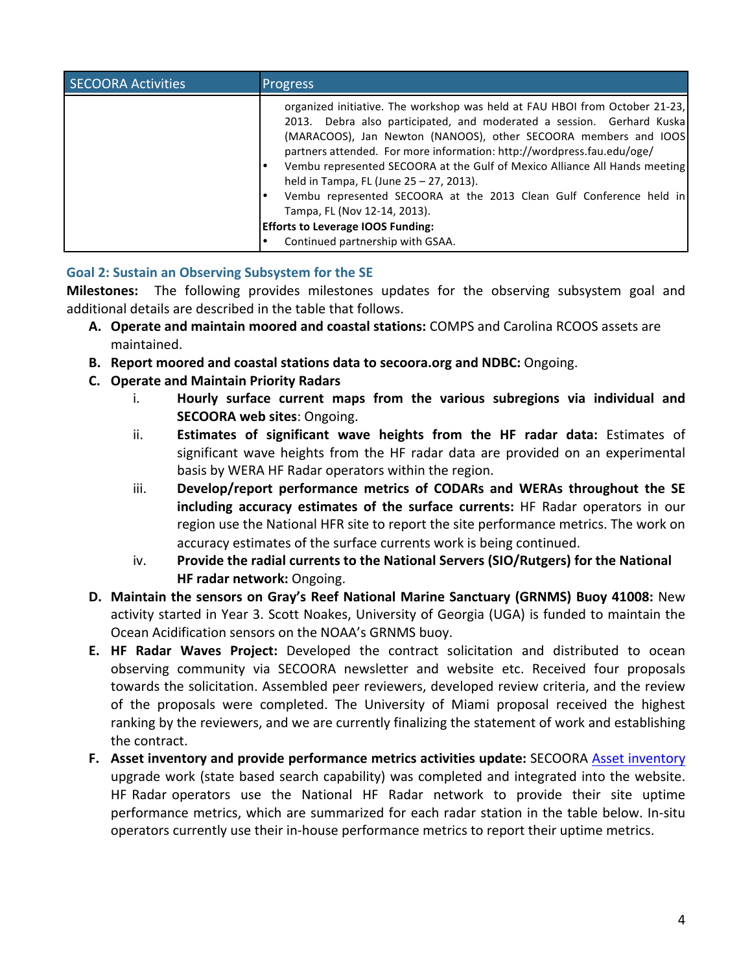| <b>SECOORA Activities</b> | <b>Progress</b>                                                                                                                                                                                                                                                                                                                                                                                                                                                                                                                                                                                                   |
|---------------------------|-------------------------------------------------------------------------------------------------------------------------------------------------------------------------------------------------------------------------------------------------------------------------------------------------------------------------------------------------------------------------------------------------------------------------------------------------------------------------------------------------------------------------------------------------------------------------------------------------------------------|
|                           | organized initiative. The workshop was held at FAU HBOI from October 21-23,<br>2013. Debra also participated, and moderated a session. Gerhard Kuska<br>(MARACOOS), Jan Newton (NANOOS), other SECOORA members and IOOS<br>partners attended. For more information: http://wordpress.fau.edu/oge/<br>Vembu represented SECOORA at the Gulf of Mexico Alliance All Hands meeting<br>held in Tampa, FL (June 25 - 27, 2013).<br>Vembu represented SECOORA at the 2013 Clean Gulf Conference held in<br>Tampa, FL (Nov 12-14, 2013).<br><b>Efforts to Leverage IOOS Funding:</b><br>Continued partnership with GSAA. |

# Goal 2: Sustain an Observing Subsystem for the SE

Milestones: The following provides milestones updates for the observing subsystem goal and additional details are described in the table that follows.

- **A. Operate and maintain moored and coastal stations:** COMPS and Carolina RCOOS assets are maintained.!
- **B.** Report moored and coastal stations data to secoora.org and NDBC: Ongoing.
- **C. Operate)and)Maintain)Priority)Radars**
	- i. **Hourly surface current maps from the various subregions via individual and SECOORA** web sites: Ongoing.
	- ii. **Estimates of significant wave heights from the HF radar data:** Estimates of significant wave heights from the HF radar data are provided on an experimental basis by WERA HF Radar operators within the region.
	- iii. **Develop/report performance metrics of CODARs and WERAs throughout the SE** including accuracy estimates of the surface currents: HF Radar operators in our region use the National HFR site to report the site performance metrics. The work on accuracy estimates of the surface currents work is being continued.
	- iv. **Provide the radial currents to the National Servers (SIO/Rutgers) for the National HF** radar network: Ongoing.
- **D.** Maintain the sensors on Gray's Reef National Marine Sanctuary (GRNMS) Buoy 41008: New activity started in Year 3. Scott Noakes, University of Georgia (UGA) is funded to maintain the Ocean Acidification sensors on the NOAA's GRNMS buoy.
- **E. HF Radar Waves Project:** Developed the contract solicitation and distributed to ocean observing community via SECOORA newsletter and website etc. Received four proposals towards the solicitation. Assembled peer reviewers, developed review criteria, and the review of the proposals were completed. The University of Miami proposal received the highest ranking by the reviewers, and we are currently finalizing the statement of work and establishing the contract.
- **F.** Asset inventory and provide performance metrics activities update: SECOORA Asset inventory upgrade work (state based search capability) was completed and integrated into the website. HF Radar operators use the National HF Radar network to provide their site uptime performance metrics, which are summarized for each radar station in the table below. In-situ operators currently use their in-house performance metrics to report their uptime metrics.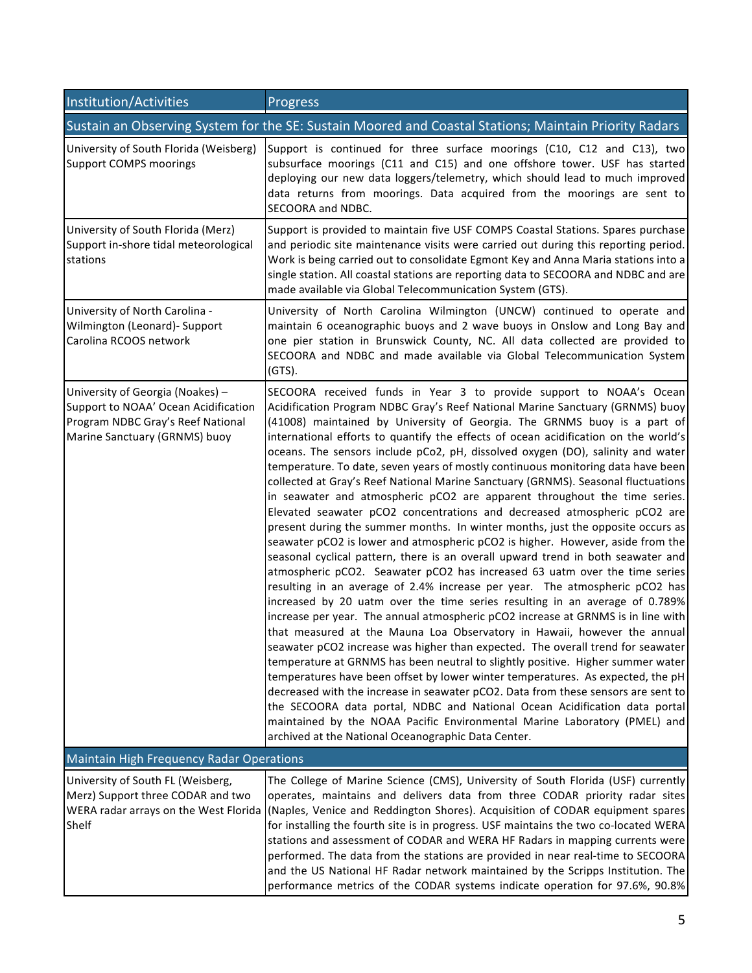| Institution/Activities                                                                                                                         | Progress                                                                                                                                                                                                                                                                                                                                                                                                                                                                                                                                                                                                                                                                                                                                                                                                                                                                                                                                                                                                                                                                                                                                                                                                                                                                                                                                                                                                                                                                                                                                                                                                                                                                                                                                                                                                                                                                                                                                                                          |  |
|------------------------------------------------------------------------------------------------------------------------------------------------|-----------------------------------------------------------------------------------------------------------------------------------------------------------------------------------------------------------------------------------------------------------------------------------------------------------------------------------------------------------------------------------------------------------------------------------------------------------------------------------------------------------------------------------------------------------------------------------------------------------------------------------------------------------------------------------------------------------------------------------------------------------------------------------------------------------------------------------------------------------------------------------------------------------------------------------------------------------------------------------------------------------------------------------------------------------------------------------------------------------------------------------------------------------------------------------------------------------------------------------------------------------------------------------------------------------------------------------------------------------------------------------------------------------------------------------------------------------------------------------------------------------------------------------------------------------------------------------------------------------------------------------------------------------------------------------------------------------------------------------------------------------------------------------------------------------------------------------------------------------------------------------------------------------------------------------------------------------------------------------|--|
|                                                                                                                                                | Sustain an Observing System for the SE: Sustain Moored and Coastal Stations; Maintain Priority Radars                                                                                                                                                                                                                                                                                                                                                                                                                                                                                                                                                                                                                                                                                                                                                                                                                                                                                                                                                                                                                                                                                                                                                                                                                                                                                                                                                                                                                                                                                                                                                                                                                                                                                                                                                                                                                                                                             |  |
| University of South Florida (Weisberg)<br><b>Support COMPS moorings</b>                                                                        | Support is continued for three surface moorings (C10, C12 and C13), two<br>subsurface moorings (C11 and C15) and one offshore tower. USF has started<br>deploying our new data loggers/telemetry, which should lead to much improved<br>data returns from moorings. Data acquired from the moorings are sent to<br>SECOORA and NDBC.                                                                                                                                                                                                                                                                                                                                                                                                                                                                                                                                                                                                                                                                                                                                                                                                                                                                                                                                                                                                                                                                                                                                                                                                                                                                                                                                                                                                                                                                                                                                                                                                                                              |  |
| University of South Florida (Merz)<br>Support in-shore tidal meteorological<br>stations                                                        | Support is provided to maintain five USF COMPS Coastal Stations. Spares purchase<br>and periodic site maintenance visits were carried out during this reporting period.<br>Work is being carried out to consolidate Egmont Key and Anna Maria stations into a<br>single station. All coastal stations are reporting data to SECOORA and NDBC and are<br>made available via Global Telecommunication System (GTS).                                                                                                                                                                                                                                                                                                                                                                                                                                                                                                                                                                                                                                                                                                                                                                                                                                                                                                                                                                                                                                                                                                                                                                                                                                                                                                                                                                                                                                                                                                                                                                 |  |
| University of North Carolina -<br>Wilmington (Leonard)- Support<br>Carolina RCOOS network                                                      | University of North Carolina Wilmington (UNCW) continued to operate and<br>maintain 6 oceanographic buoys and 2 wave buoys in Onslow and Long Bay and<br>one pier station in Brunswick County, NC. All data collected are provided to<br>SECOORA and NDBC and made available via Global Telecommunication System<br>$(GTS)$ .                                                                                                                                                                                                                                                                                                                                                                                                                                                                                                                                                                                                                                                                                                                                                                                                                                                                                                                                                                                                                                                                                                                                                                                                                                                                                                                                                                                                                                                                                                                                                                                                                                                     |  |
| University of Georgia (Noakes) -<br>Support to NOAA' Ocean Acidification<br>Program NDBC Gray's Reef National<br>Marine Sanctuary (GRNMS) buoy | SECOORA received funds in Year 3 to provide support to NOAA's Ocean<br>Acidification Program NDBC Gray's Reef National Marine Sanctuary (GRNMS) buoy<br>(41008) maintained by University of Georgia. The GRNMS buoy is a part of<br>international efforts to quantify the effects of ocean acidification on the world's<br>oceans. The sensors include pCo2, pH, dissolved oxygen (DO), salinity and water<br>temperature. To date, seven years of mostly continuous monitoring data have been<br>collected at Gray's Reef National Marine Sanctuary (GRNMS). Seasonal fluctuations<br>in seawater and atmospheric pCO2 are apparent throughout the time series.<br>Elevated seawater pCO2 concentrations and decreased atmospheric pCO2 are<br>present during the summer months. In winter months, just the opposite occurs as<br>seawater pCO2 is lower and atmospheric pCO2 is higher. However, aside from the<br>seasonal cyclical pattern, there is an overall upward trend in both seawater and<br>atmospheric pCO2. Seawater pCO2 has increased 63 uatm over the time series<br>resulting in an average of 2.4% increase per year. The atmospheric pCO2 has<br>increased by 20 uatm over the time series resulting in an average of 0.789%<br>increase per year. The annual atmospheric pCO2 increase at GRNMS is in line with<br>that measured at the Mauna Loa Observatory in Hawaii, however the annual<br>seawater pCO2 increase was higher than expected. The overall trend for seawater<br>temperature at GRNMS has been neutral to slightly positive. Higher summer water<br>temperatures have been offset by lower winter temperatures. As expected, the pH<br>decreased with the increase in seawater pCO2. Data from these sensors are sent to<br>the SECOORA data portal, NDBC and National Ocean Acidification data portal<br>maintained by the NOAA Pacific Environmental Marine Laboratory (PMEL) and<br>archived at the National Oceanographic Data Center. |  |
| <b>Maintain High Frequency Radar Operations</b>                                                                                                |                                                                                                                                                                                                                                                                                                                                                                                                                                                                                                                                                                                                                                                                                                                                                                                                                                                                                                                                                                                                                                                                                                                                                                                                                                                                                                                                                                                                                                                                                                                                                                                                                                                                                                                                                                                                                                                                                                                                                                                   |  |
| University of South FL (Weisberg,<br>Merz) Support three CODAR and two<br>WERA radar arrays on the West Florida<br>Shelf                       | The College of Marine Science (CMS), University of South Florida (USF) currently<br>operates, maintains and delivers data from three CODAR priority radar sites<br>(Naples, Venice and Reddington Shores). Acquisition of CODAR equipment spares<br>for installing the fourth site is in progress. USF maintains the two co-located WERA<br>stations and assessment of CODAR and WERA HF Radars in mapping currents were<br>performed. The data from the stations are provided in near real-time to SECOORA<br>and the US National HF Radar network maintained by the Scripps Institution. The<br>performance metrics of the CODAR systems indicate operation for 97.6%, 90.8%                                                                                                                                                                                                                                                                                                                                                                                                                                                                                                                                                                                                                                                                                                                                                                                                                                                                                                                                                                                                                                                                                                                                                                                                                                                                                                    |  |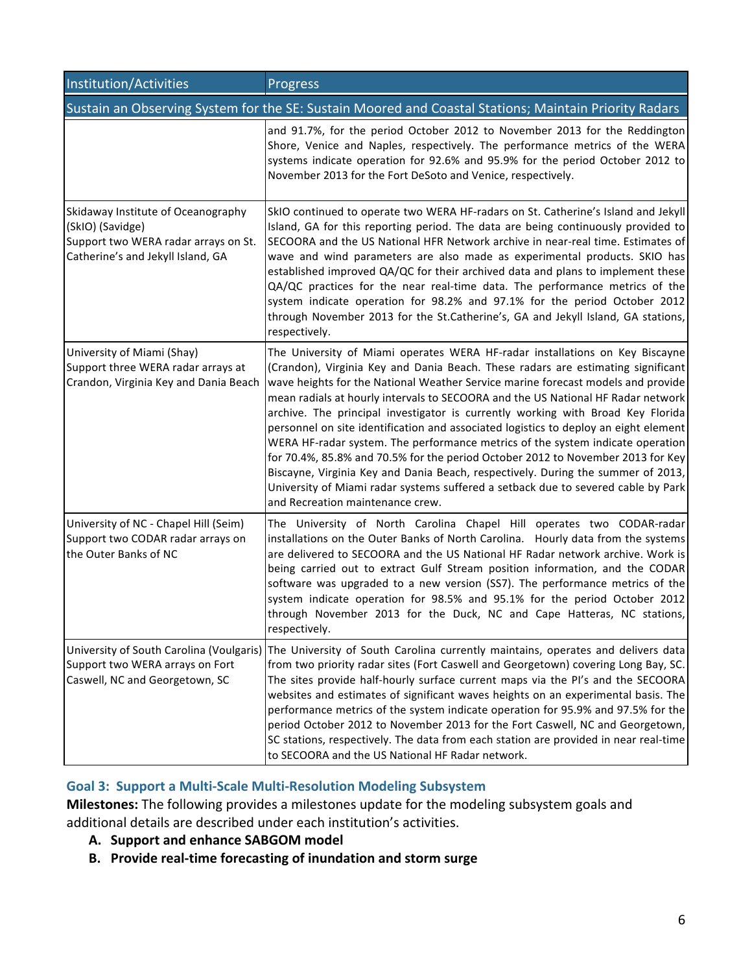| Institution/Activities                                                                                                              | Progress                                                                                                                                                                                                                                                                                                                                                                                                                                                                                                                                                                                                                                                                                                                                                                                                                                                                                              |  |
|-------------------------------------------------------------------------------------------------------------------------------------|-------------------------------------------------------------------------------------------------------------------------------------------------------------------------------------------------------------------------------------------------------------------------------------------------------------------------------------------------------------------------------------------------------------------------------------------------------------------------------------------------------------------------------------------------------------------------------------------------------------------------------------------------------------------------------------------------------------------------------------------------------------------------------------------------------------------------------------------------------------------------------------------------------|--|
| Sustain an Observing System for the SE: Sustain Moored and Coastal Stations; Maintain Priority Radars                               |                                                                                                                                                                                                                                                                                                                                                                                                                                                                                                                                                                                                                                                                                                                                                                                                                                                                                                       |  |
|                                                                                                                                     | and 91.7%, for the period October 2012 to November 2013 for the Reddington<br>Shore, Venice and Naples, respectively. The performance metrics of the WERA<br>systems indicate operation for 92.6% and 95.9% for the period October 2012 to<br>November 2013 for the Fort DeSoto and Venice, respectively.                                                                                                                                                                                                                                                                                                                                                                                                                                                                                                                                                                                             |  |
| Skidaway Institute of Oceanography<br>(SkIO) (Savidge)<br>Support two WERA radar arrays on St.<br>Catherine's and Jekyll Island, GA | SkIO continued to operate two WERA HF-radars on St. Catherine's Island and Jekyll<br>Island, GA for this reporting period. The data are being continuously provided to<br>SECOORA and the US National HFR Network archive in near-real time. Estimates of<br>wave and wind parameters are also made as experimental products. SKIO has<br>established improved QA/QC for their archived data and plans to implement these<br>QA/QC practices for the near real-time data. The performance metrics of the<br>system indicate operation for 98.2% and 97.1% for the period October 2012<br>through November 2013 for the St.Catherine's, GA and Jekyll Island, GA stations,<br>respectively.                                                                                                                                                                                                            |  |
| University of Miami (Shay)<br>Support three WERA radar arrays at<br>Crandon, Virginia Key and Dania Beach                           | The University of Miami operates WERA HF-radar installations on Key Biscayne<br>(Crandon), Virginia Key and Dania Beach. These radars are estimating significant<br>wave heights for the National Weather Service marine forecast models and provide<br>mean radials at hourly intervals to SECOORA and the US National HF Radar network<br>archive. The principal investigator is currently working with Broad Key Florida<br>personnel on site identification and associated logistics to deploy an eight element<br>WERA HF-radar system. The performance metrics of the system indicate operation<br>for 70.4%, 85.8% and 70.5% for the period October 2012 to November 2013 for Key<br>Biscayne, Virginia Key and Dania Beach, respectively. During the summer of 2013,<br>University of Miami radar systems suffered a setback due to severed cable by Park<br>and Recreation maintenance crew. |  |
| University of NC - Chapel Hill (Seim)<br>Support two CODAR radar arrays on<br>the Outer Banks of NC                                 | The University of North Carolina Chapel Hill operates two CODAR-radar<br>installations on the Outer Banks of North Carolina. Hourly data from the systems<br>are delivered to SECOORA and the US National HF Radar network archive. Work is<br>being carried out to extract Gulf Stream position information, and the CODAR<br>software was upgraded to a new version (SS7). The performance metrics of the<br>system indicate operation for 98.5% and 95.1% for the period October 2012<br>through November 2013 for the Duck, NC and Cape Hatteras, NC stations,<br>respectively.                                                                                                                                                                                                                                                                                                                   |  |
| University of South Carolina (Voulgaris)<br>Support two WERA arrays on Fort<br>Caswell, NC and Georgetown, SC                       | The University of South Carolina currently maintains, operates and delivers data<br>from two priority radar sites (Fort Caswell and Georgetown) covering Long Bay, SC.<br>The sites provide half-hourly surface current maps via the PI's and the SECOORA<br>websites and estimates of significant waves heights on an experimental basis. The<br>performance metrics of the system indicate operation for 95.9% and 97.5% for the<br>period October 2012 to November 2013 for the Fort Caswell, NC and Georgetown,<br>SC stations, respectively. The data from each station are provided in near real-time<br>to SECOORA and the US National HF Radar network.                                                                                                                                                                                                                                       |  |

# **Goal 3: Support a Multi-Scale Multi-Resolution Modeling Subsystem**

Milestones: The following provides a milestones update for the modeling subsystem goals and additional details are described under each institution's activities.

- **A.** Support and enhance SABGOM model
- **B.** Provide real-time forecasting of inundation and storm surge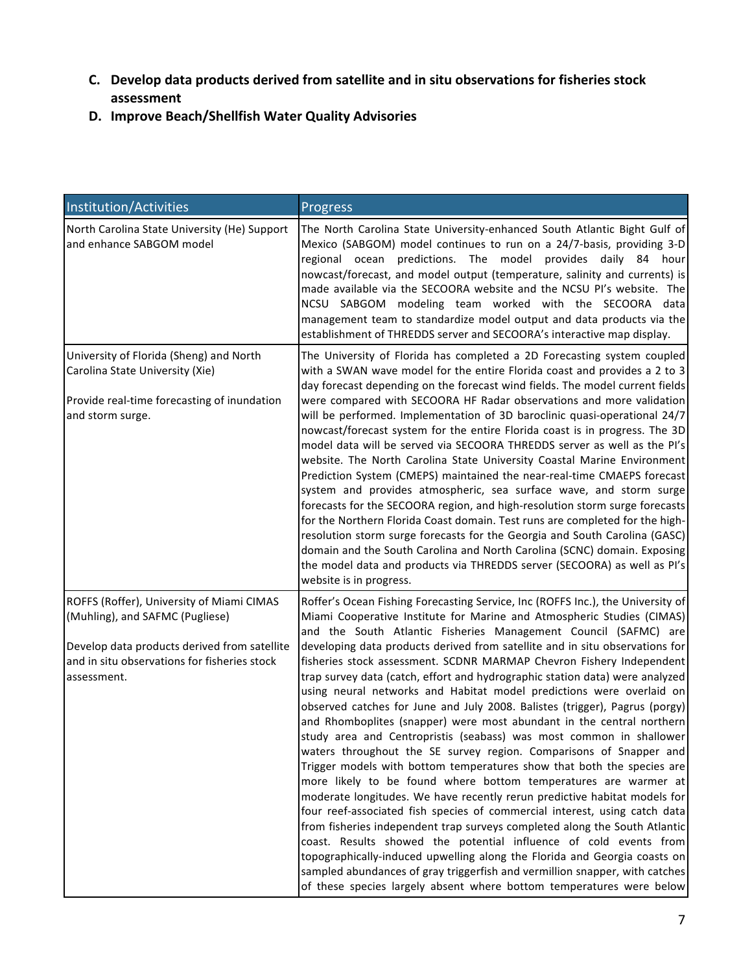- **C.** Develop data products derived from satellite and in situ observations for fisheries stock **assessment**
- **D.** Improve Beach/Shellfish Water Quality Advisories

| Institution/Activities                                                                                                                                                                      | Progress                                                                                                                                                                                                                                                                                                                                                                                                                                                                                                                                                                                                                                                                                                                                                                                                                                                                                                                                                                                                                                                                                                                                                                                                                                                                                                                                                                                                                                                                                                                                         |
|---------------------------------------------------------------------------------------------------------------------------------------------------------------------------------------------|--------------------------------------------------------------------------------------------------------------------------------------------------------------------------------------------------------------------------------------------------------------------------------------------------------------------------------------------------------------------------------------------------------------------------------------------------------------------------------------------------------------------------------------------------------------------------------------------------------------------------------------------------------------------------------------------------------------------------------------------------------------------------------------------------------------------------------------------------------------------------------------------------------------------------------------------------------------------------------------------------------------------------------------------------------------------------------------------------------------------------------------------------------------------------------------------------------------------------------------------------------------------------------------------------------------------------------------------------------------------------------------------------------------------------------------------------------------------------------------------------------------------------------------------------|
| North Carolina State University (He) Support<br>and enhance SABGOM model                                                                                                                    | The North Carolina State University-enhanced South Atlantic Bight Gulf of<br>Mexico (SABGOM) model continues to run on a 24/7-basis, providing 3-D<br>regional ocean predictions. The model provides daily 84 hour<br>nowcast/forecast, and model output (temperature, salinity and currents) is<br>made available via the SECOORA website and the NCSU PI's website. The<br>NCSU SABGOM modeling team worked with the SECOORA data<br>management team to standardize model output and data products via the<br>establishment of THREDDS server and SECOORA's interactive map display.                                                                                                                                                                                                                                                                                                                                                                                                                                                                                                                                                                                                                                                                                                                                                                                                                                                                                                                                                           |
| University of Florida (Sheng) and North<br>Carolina State University (Xie)<br>Provide real-time forecasting of inundation<br>and storm surge.                                               | The University of Florida has completed a 2D Forecasting system coupled<br>with a SWAN wave model for the entire Florida coast and provides a 2 to 3<br>day forecast depending on the forecast wind fields. The model current fields<br>were compared with SECOORA HF Radar observations and more validation<br>will be performed. Implementation of 3D baroclinic quasi-operational 24/7<br>nowcast/forecast system for the entire Florida coast is in progress. The 3D<br>model data will be served via SECOORA THREDDS server as well as the PI's<br>website. The North Carolina State University Coastal Marine Environment<br>Prediction System (CMEPS) maintained the near-real-time CMAEPS forecast<br>system and provides atmospheric, sea surface wave, and storm surge<br>forecasts for the SECOORA region, and high-resolution storm surge forecasts<br>for the Northern Florida Coast domain. Test runs are completed for the high-<br>resolution storm surge forecasts for the Georgia and South Carolina (GASC)<br>domain and the South Carolina and North Carolina (SCNC) domain. Exposing<br>the model data and products via THREDDS server (SECOORA) as well as PI's<br>website is in progress.                                                                                                                                                                                                                                                                                                                                 |
| ROFFS (Roffer), University of Miami CIMAS<br>(Muhling), and SAFMC (Pugliese)<br>Develop data products derived from satellite<br>and in situ observations for fisheries stock<br>assessment. | Roffer's Ocean Fishing Forecasting Service, Inc (ROFFS Inc.), the University of<br>Miami Cooperative Institute for Marine and Atmospheric Studies (CIMAS)<br>and the South Atlantic Fisheries Management Council (SAFMC) are<br>developing data products derived from satellite and in situ observations for<br>fisheries stock assessment. SCDNR MARMAP Chevron Fishery Independent<br>trap survey data (catch, effort and hydrographic station data) were analyzed<br>using neural networks and Habitat model predictions were overlaid on<br>observed catches for June and July 2008. Balistes (trigger), Pagrus (porgy)<br>and Rhomboplites (snapper) were most abundant in the central northern<br>study area and Centropristis (seabass) was most common in shallower<br>waters throughout the SE survey region. Comparisons of Snapper and<br>Trigger models with bottom temperatures show that both the species are<br>more likely to be found where bottom temperatures are warmer at<br>moderate longitudes. We have recently rerun predictive habitat models for<br>four reef-associated fish species of commercial interest, using catch data<br>from fisheries independent trap surveys completed along the South Atlantic<br>coast. Results showed the potential influence of cold events from<br>topographically-induced upwelling along the Florida and Georgia coasts on<br>sampled abundances of gray triggerfish and vermillion snapper, with catches<br>of these species largely absent where bottom temperatures were below |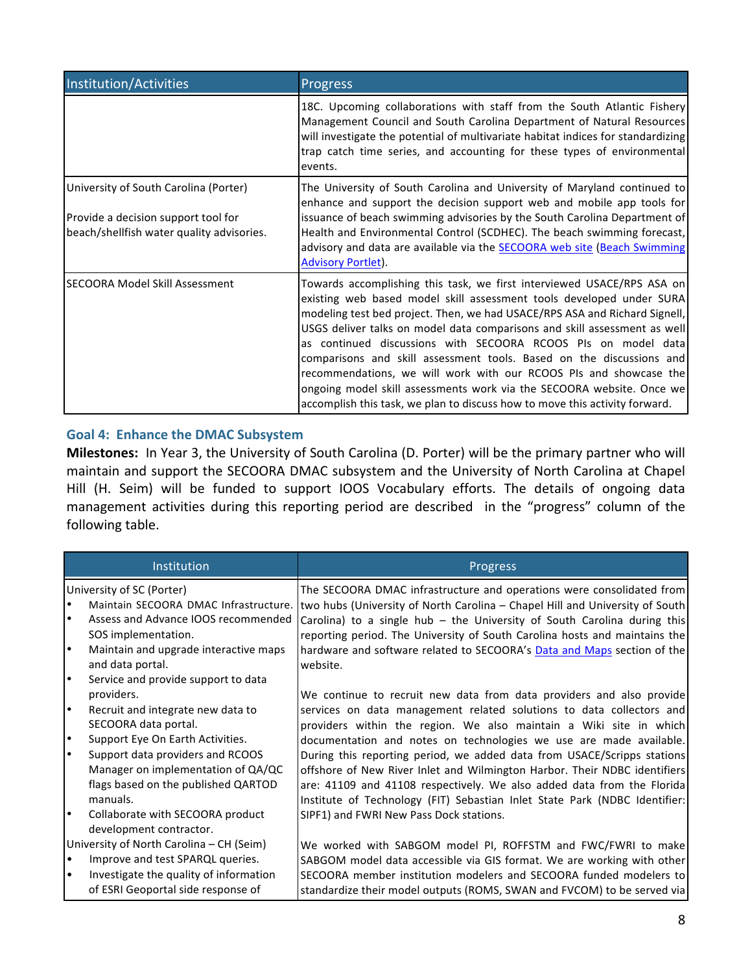| Institution/Activities                                                                                                    | Progress                                                                                                                                                                                                                                                                                                                                                                                                                                                                                                                                                                                                                                                                        |
|---------------------------------------------------------------------------------------------------------------------------|---------------------------------------------------------------------------------------------------------------------------------------------------------------------------------------------------------------------------------------------------------------------------------------------------------------------------------------------------------------------------------------------------------------------------------------------------------------------------------------------------------------------------------------------------------------------------------------------------------------------------------------------------------------------------------|
|                                                                                                                           | 18C. Upcoming collaborations with staff from the South Atlantic Fishery<br>Management Council and South Carolina Department of Natural Resources<br>will investigate the potential of multivariate habitat indices for standardizing<br>trap catch time series, and accounting for these types of environmental<br>events.                                                                                                                                                                                                                                                                                                                                                      |
| University of South Carolina (Porter)<br>Provide a decision support tool for<br>beach/shellfish water quality advisories. | The University of South Carolina and University of Maryland continued to<br>enhance and support the decision support web and mobile app tools for<br>issuance of beach swimming advisories by the South Carolina Department of<br>Health and Environmental Control (SCDHEC). The beach swimming forecast,<br>advisory and data are available via the <b>SECOORA</b> web site (Beach Swimming<br><b>Advisory Portlet).</b>                                                                                                                                                                                                                                                       |
| <b>SECOORA Model Skill Assessment</b>                                                                                     | Towards accomplishing this task, we first interviewed USACE/RPS ASA on<br>existing web based model skill assessment tools developed under SURA<br>modeling test bed project. Then, we had USACE/RPS ASA and Richard Signell,<br>USGS deliver talks on model data comparisons and skill assessment as well<br>as continued discussions with SECOORA RCOOS PIs on model data<br>comparisons and skill assessment tools. Based on the discussions and<br>recommendations, we will work with our RCOOS PIs and showcase the<br>ongoing model skill assessments work via the SECOORA website. Once we<br>accomplish this task, we plan to discuss how to move this activity forward. |

# Goal 4: Enhance the DMAC Subsystem

Milestones: In Year 3, the University of South Carolina (D. Porter) will be the primary partner who will maintain and support the SECOORA DMAC subsystem and the University of North Carolina at Chapel Hill (H. Seim) will be funded to support IOOS Vocabulary efforts. The details of ongoing data management activities during this reporting period are described in the "progress" column of the following table.

| Institution                                        | Progress                                                                                                           |
|----------------------------------------------------|--------------------------------------------------------------------------------------------------------------------|
| University of SC (Porter)                          | The SECOORA DMAC infrastructure and operations were consolidated from                                              |
|                                                    | Maintain SECOORA DMAC Infrastructure. two hubs (University of North Carolina - Chapel Hill and University of South |
| Assess and Advance IOOS recommended                | Carolina) to a single hub - the University of South Carolina during this                                           |
| SOS implementation.                                | reporting period. The University of South Carolina hosts and maintains the                                         |
| Maintain and upgrade interactive maps<br>$\bullet$ | hardware and software related to SECOORA's Data and Maps section of the                                            |
| and data portal.                                   | website.                                                                                                           |
| $\bullet$<br>Service and provide support to data   |                                                                                                                    |
| providers.                                         | We continue to recruit new data from data providers and also provide                                               |
| $\bullet$<br>Recruit and integrate new data to     | services on data management related solutions to data collectors and                                               |
| SECOORA data portal.                               | providers within the region. We also maintain a Wiki site in which                                                 |
| Support Eye On Earth Activities.                   | documentation and notes on technologies we use are made available.                                                 |
| Support data providers and RCOOS                   | During this reporting period, we added data from USACE/Scripps stations                                            |
| Manager on implementation of QA/QC                 | offshore of New River Inlet and Wilmington Harbor. Their NDBC identifiers                                          |
| flags based on the published QARTOD                | are: 41109 and 41108 respectively. We also added data from the Florida                                             |
| manuals.                                           | Institute of Technology (FIT) Sebastian Inlet State Park (NDBC Identifier:                                         |
| Collaborate with SECOORA product                   | SIPF1) and FWRI New Pass Dock stations.                                                                            |
| development contractor.                            |                                                                                                                    |
| University of North Carolina - CH (Seim)           | We worked with SABGOM model PI, ROFFSTM and FWC/FWRI to make                                                       |
| Improve and test SPARQL queries.<br>$\bullet$      | SABGOM model data accessible via GIS format. We are working with other                                             |
| Investigate the quality of information             | SECOORA member institution modelers and SECOORA funded modelers to                                                 |
| of ESRI Geoportal side response of                 | standardize their model outputs (ROMS, SWAN and FVCOM) to be served via                                            |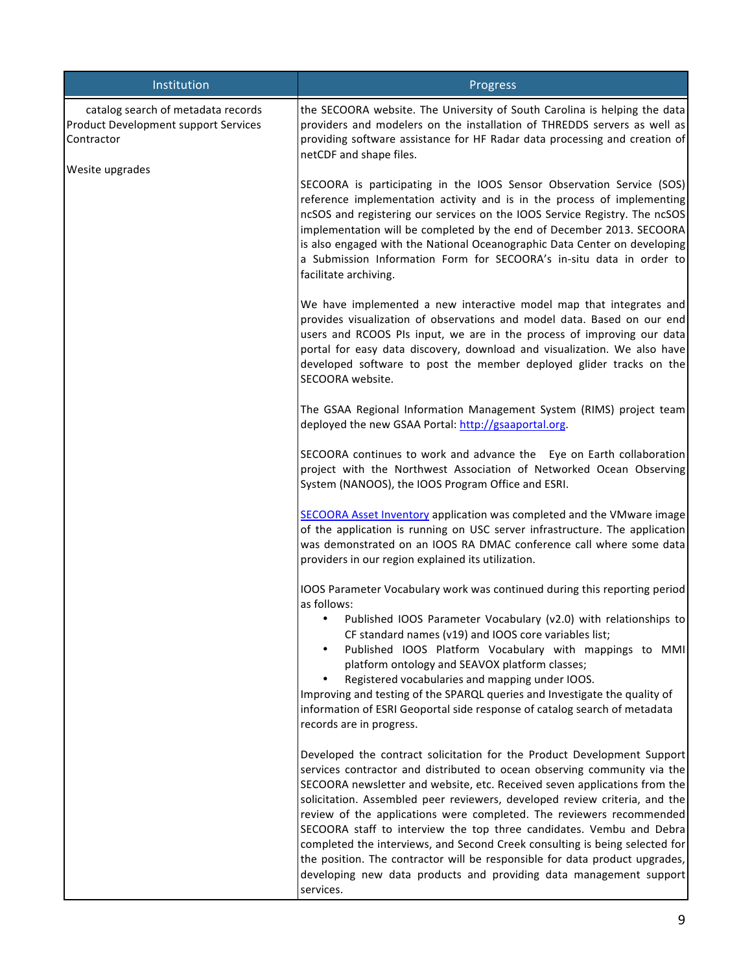| Institution                                                                                                 | Progress                                                                                                                                                                                                                                                                                                                                                                                                                                                                                                                                                                                                                                                                                                        |
|-------------------------------------------------------------------------------------------------------------|-----------------------------------------------------------------------------------------------------------------------------------------------------------------------------------------------------------------------------------------------------------------------------------------------------------------------------------------------------------------------------------------------------------------------------------------------------------------------------------------------------------------------------------------------------------------------------------------------------------------------------------------------------------------------------------------------------------------|
| catalog search of metadata records<br>Product Development support Services<br>Contractor<br>Wesite upgrades | the SECOORA website. The University of South Carolina is helping the data<br>providers and modelers on the installation of THREDDS servers as well as<br>providing software assistance for HF Radar data processing and creation of<br>netCDF and shape files.                                                                                                                                                                                                                                                                                                                                                                                                                                                  |
|                                                                                                             | SECOORA is participating in the IOOS Sensor Observation Service (SOS)<br>reference implementation activity and is in the process of implementing<br>ncSOS and registering our services on the IOOS Service Registry. The ncSOS<br>implementation will be completed by the end of December 2013. SECOORA<br>is also engaged with the National Oceanographic Data Center on developing<br>a Submission Information Form for SECOORA's in-situ data in order to<br>facilitate archiving.                                                                                                                                                                                                                           |
|                                                                                                             | We have implemented a new interactive model map that integrates and<br>provides visualization of observations and model data. Based on our end<br>users and RCOOS PIs input, we are in the process of improving our data<br>portal for easy data discovery, download and visualization. We also have<br>developed software to post the member deployed glider tracks on the<br>SECOORA website.                                                                                                                                                                                                                                                                                                                 |
|                                                                                                             | The GSAA Regional Information Management System (RIMS) project team<br>deployed the new GSAA Portal: http://gsaaportal.org.                                                                                                                                                                                                                                                                                                                                                                                                                                                                                                                                                                                     |
|                                                                                                             | SECOORA continues to work and advance the Eye on Earth collaboration<br>project with the Northwest Association of Networked Ocean Observing<br>System (NANOOS), the IOOS Program Office and ESRI.                                                                                                                                                                                                                                                                                                                                                                                                                                                                                                               |
|                                                                                                             | SECOORA Asset Inventory application was completed and the VMware image<br>of the application is running on USC server infrastructure. The application<br>was demonstrated on an IOOS RA DMAC conference call where some data<br>providers in our region explained its utilization.                                                                                                                                                                                                                                                                                                                                                                                                                              |
|                                                                                                             | IOOS Parameter Vocabulary work was continued during this reporting period<br>as follows:                                                                                                                                                                                                                                                                                                                                                                                                                                                                                                                                                                                                                        |
|                                                                                                             | Published IOOS Parameter Vocabulary (v2.0) with relationships to<br>CF standard names (v19) and IOOS core variables list;<br>Published IOOS Platform Vocabulary with mappings to MMI<br>$\bullet$<br>platform ontology and SEAVOX platform classes;<br>Registered vocabularies and mapping under IOOS.<br>$\bullet$<br>Improving and testing of the SPARQL queries and Investigate the quality of<br>information of ESRI Geoportal side response of catalog search of metadata<br>records are in progress.                                                                                                                                                                                                      |
|                                                                                                             | Developed the contract solicitation for the Product Development Support<br>services contractor and distributed to ocean observing community via the<br>SECOORA newsletter and website, etc. Received seven applications from the<br>solicitation. Assembled peer reviewers, developed review criteria, and the<br>review of the applications were completed. The reviewers recommended<br>SECOORA staff to interview the top three candidates. Vembu and Debra<br>completed the interviews, and Second Creek consulting is being selected for<br>the position. The contractor will be responsible for data product upgrades,<br>developing new data products and providing data management support<br>services. |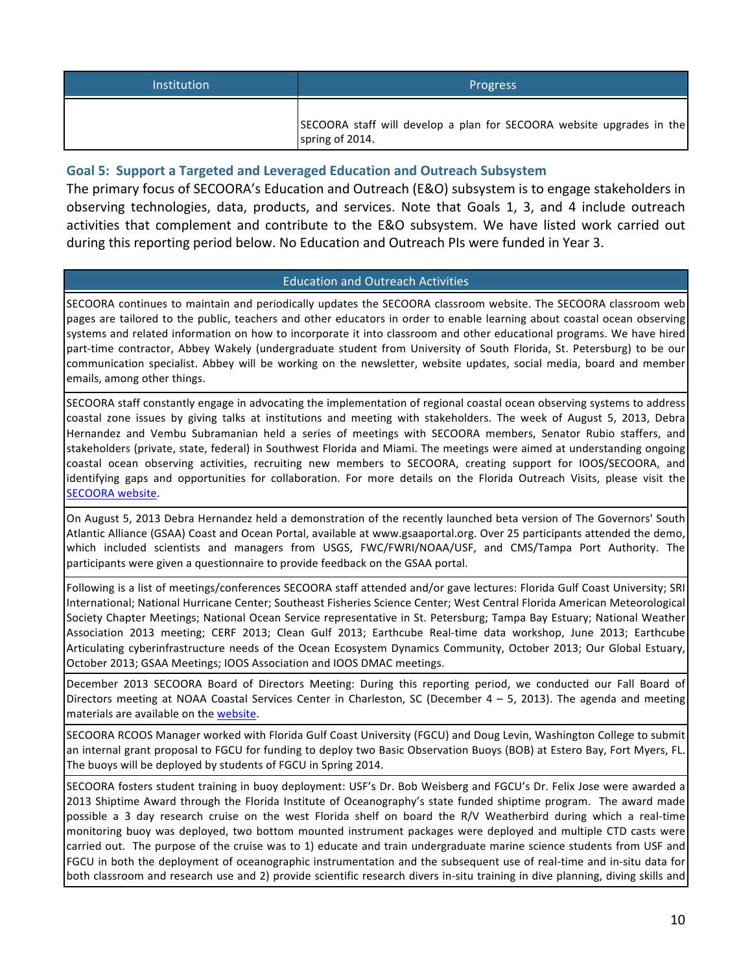| <b>Institution</b> | <b>Progress</b>                                                                          |
|--------------------|------------------------------------------------------------------------------------------|
|                    | SECOORA staff will develop a plan for SECOORA website upgrades in the<br>spring of 2014. |

## Goal 5: Support a Targeted and Leveraged Education and Outreach Subsystem

The primary focus of SECOORA's Education and Outreach (E&O) subsystem is to engage stakeholders in observing technologies, data, products, and services. Note that Goals 1, 3, and 4 include outreach activities that complement and contribute to the E&O subsystem. We have listed work carried out during this reporting period below. No Education and Outreach PIs were funded in Year 3.

## **Education and Outreach Activities**

SECOORA continues to maintain and periodically updates the SECOORA classroom website. The SECOORA classroom web pages are tailored to the public, teachers and other educators in order to enable learning about coastal ocean observing systems and related information on how to incorporate it into classroom and other educational programs. We have hired part-time contractor, Abbey Wakely (undergraduate student from University of South Florida, St. Petersburg) to be our communication specialist. Abbey will be working on the newsletter, website updates, social media, board and member emails, among other things.

SECOORA staff constantly engage in advocating the implementation of regional coastal ocean observing systems to address coastal zone issues by giving talks at institutions and meeting with stakeholders. The week of August 5, 2013, Debra Hernandez and Vembu Subramanian held a series of meetings with SECOORA members, Senator Rubio staffers, and stakeholders (private, state, federal) in Southwest Florida and Miami. The meetings were aimed at understanding ongoing coastal ocean observing activities, recruiting new members to SECOORA, creating support for IOOS/SECOORA, and identifying gaps and opportunities for collaboration. For more details on the Florida Outreach Visits, please visit the SECOORA website.

On August 5, 2013 Debra Hernandez held a demonstration of the recently launched beta version of The Governors' South Atlantic Alliance (GSAA) Coast and Ocean Portal, available at www.gsaaportal.org. Over 25 participants attended the demo, which included scientists and managers from USGS, FWC/FWRI/NOAA/USF, and CMS/Tampa Port Authority. The participants were given a questionnaire to provide feedback on the GSAA portal.

Following is a list of meetings/conferences SECOORA staff attended and/or gave lectures: Florida Gulf Coast University; SRI International; National Hurricane Center; Southeast Fisheries Science Center; West Central Florida American Meteorological Society Chapter Meetings; National Ocean Service representative in St. Petersburg; Tampa Bay Estuary; National Weather Association 2013 meeting; CERF 2013; Clean Gulf 2013; Earthcube Real-time data workshop, June 2013; Earthcube Articulating cyberinfrastructure needs of the Ocean Ecosystem Dynamics Community, October 2013; Our Global Estuary, October 2013; GSAA Meetings; IOOS Association and IOOS DMAC meetings.

December 2013 SECOORA Board of Directors Meeting: During this reporting period, we conducted our Fall Board of Directors meeting at NOAA Coastal Services Center in Charleston, SC (December 4 – 5, 2013). The agenda and meeting materials are available on the website.

SECOORA RCOOS Manager worked with Florida Gulf Coast University (FGCU) and Doug Levin, Washington College to submit an internal grant proposal to FGCU for funding to deploy two Basic Observation Buoys (BOB) at Estero Bay, Fort Myers, FL. The buoys will be deployed by students of FGCU in Spring 2014.

SECOORA fosters student training in buoy deployment: USF's Dr. Bob Weisberg and FGCU's Dr. Felix Jose were awarded a 2013 Shiptime Award through the Florida Institute of Oceanography's state funded shiptime program. The award made possible a 3 day research cruise on the west Florida shelf on board the R/V Weatherbird during which a real-time monitoring buoy was deployed, two bottom mounted instrument packages were deployed and multiple CTD casts were carried out. The purpose of the cruise was to 1) educate and train undergraduate marine science students from USF and FGCU in both the deployment of oceanographic instrumentation and the subsequent use of real-time and in-situ data for both classroom and research use and 2) provide scientific research divers in-situ training in dive planning, diving skills and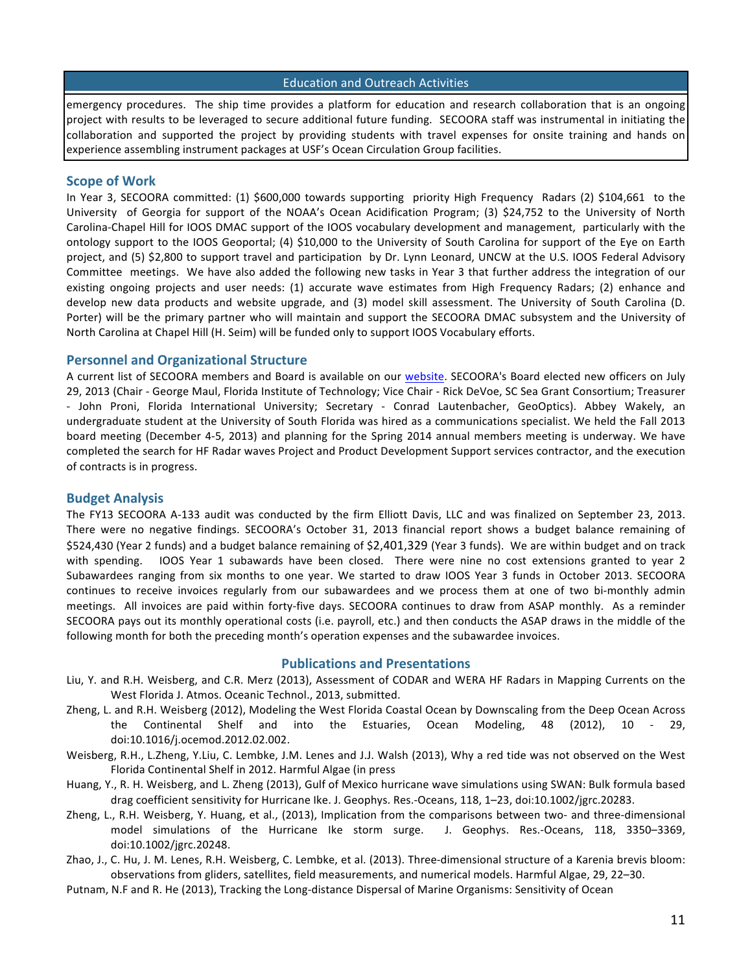#### Education and Outreach Activities

emergency procedures. The ship time provides a platform for education and research collaboration that is an ongoing project with results to be leveraged to secure additional future funding. SECOORA staff was instrumental in initiating the collaboration and supported the project by providing students with travel expenses for onsite training and hands on experience assembling instrument packages at USF's Ocean Circulation Group facilities.

#### **Scope of Work**

In Year 3, SECOORA committed: (1) \$600,000 towards supporting priority High Frequency Radars (2) \$104,661 to the University of Georgia for support of the NOAA's Ocean Acidification Program; (3) \$24,752 to the University of North Carolina-Chapel Hill for IOOS DMAC support of the IOOS vocabulary development and management, particularly with the ontology support to the IOOS Geoportal; (4) \$10,000 to the University of South Carolina for support of the Eye on Earth project, and (5) \$2,800 to support travel and participation by Dr. Lynn Leonard, UNCW at the U.S. IOOS Federal Advisory Committee meetings. We have also added the following new tasks in Year 3 that further address the integration of our existing ongoing projects and user needs: (1) accurate wave estimates from High Frequency Radars; (2) enhance and develop new data products and website upgrade, and (3) model skill assessment. The University of South Carolina (D. Porter) will be the primary partner who will maintain and support the SECOORA DMAC subsystem and the University of North Carolina at Chapel Hill (H. Seim) will be funded only to support IOOS Vocabulary efforts.

#### **Personnel and Organizational Structure**

A current list of SECOORA members and Board is available on our website. SECOORA's Board elected new officers on July 29, 2013 (Chair - George Maul, Florida Institute of Technology; Vice Chair - Rick DeVoe, SC Sea Grant Consortium; Treasurer - John Proni, Florida International University; Secretary - Conrad Lautenbacher, GeoOptics). Abbey Wakely, an undergraduate student at the University of South Florida was hired as a communications specialist. We held the Fall 2013 board meeting (December 4-5, 2013) and planning for the Spring 2014 annual members meeting is underway. We have completed the search for HF Radar waves Project and Product Development Support services contractor, and the execution of contracts is in progress.

#### **Budget Analysis**

The FY13 SECOORA A-133 audit was conducted by the firm Elliott Davis, LLC and was finalized on September 23, 2013. There were no negative findings. SECOORA's October 31, 2013 financial report shows a budget balance remaining of \$524,430 (Year 2 funds) and a budget balance remaining of \$2,401,329 (Year 3 funds). We are within budget and on track with spending. IOOS Year 1 subawards have been closed. There were nine no cost extensions granted to year 2 Subawardees ranging from six months to one year. We started to draw IOOS Year 3 funds in October 2013. SECOORA continues to receive invoices regularly from our subawardees and we process them at one of two bi-monthly admin meetings. All invoices are paid within forty-five days. SECOORA continues to draw from ASAP monthly. As a reminder SECOORA pays out its monthly operational costs (i.e. payroll, etc.) and then conducts the ASAP draws in the middle of the following month for both the preceding month's operation expenses and the subawardee invoices.

#### **Publications and Presentations**

- Liu, Y. and R.H. Weisberg, and C.R. Merz (2013), Assessment of CODAR and WERA HF Radars in Mapping Currents on the West Florida J. Atmos. Oceanic Technol., 2013, submitted.
- Zheng, L. and R.H. Weisberg (2012), Modeling the West Florida Coastal Ocean by Downscaling from the Deep Ocean Across the Continental Shelf and into the Estuaries, Ocean Modeling, 48 (2012), 10 - 29, doi:10.1016/j.ocemod.2012.02.002.
- Weisberg, R.H., L.Zheng, Y.Liu, C. Lembke, J.M. Lenes and J.J. Walsh (2013), Why a red tide was not observed on the West Florida Continental Shelf in 2012. Harmful Algae (in press
- Huang, Y., R. H. Weisberg, and L. Zheng (2013), Gulf of Mexico hurricane wave simulations using SWAN: Bulk formula based drag coefficient sensitivity for Hurricane Ike. J. Geophys. Res.-Oceans, 118, 1–23, doi:10.1002/jgrc.20283.
- Zheng, L., R.H. Weisberg, Y. Huang, et al., (2013), Implication from the comparisons between two- and three-dimensional model simulations of the Hurricane Ike storm surge. J. Geophys. Res.-Oceans, 118, 3350-3369, doi:10.1002/jgrc.20248.
- Zhao, J., C. Hu, J. M. Lenes, R.H. Weisberg, C. Lembke, et al. (2013). Three-dimensional structure of a Karenia brevis bloom: observations from gliders, satellites, field measurements, and numerical models. Harmful Algae, 29, 22–30.
- Putnam, N.F and R. He (2013), Tracking the Long-distance Dispersal of Marine Organisms: Sensitivity of Ocean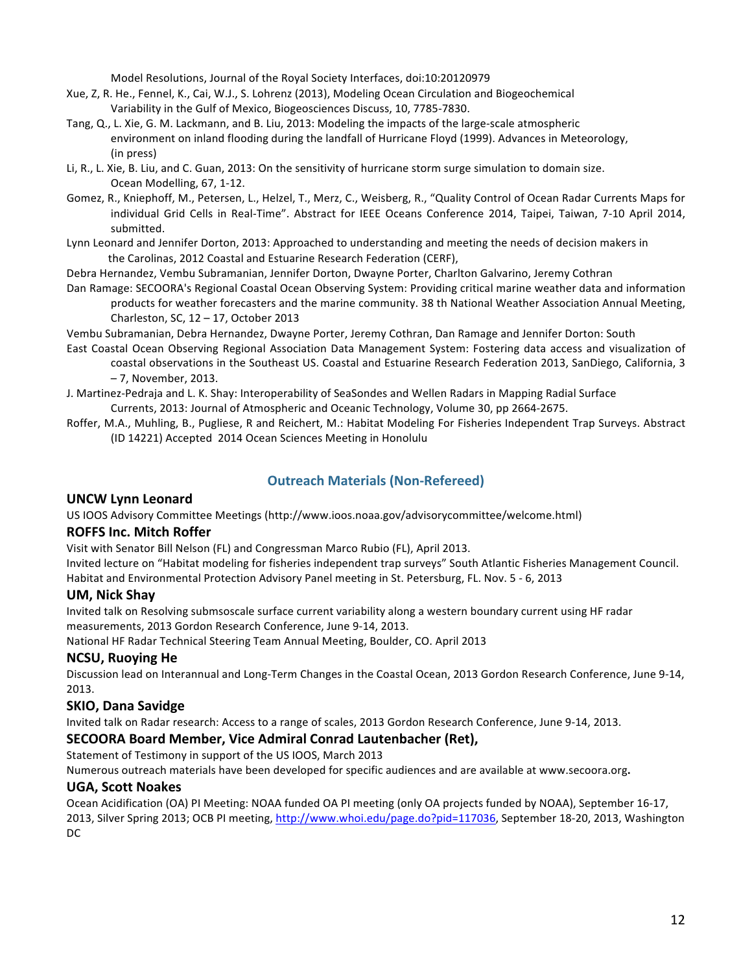Model Resolutions, Journal of the Royal Society Interfaces, doi:10:20120979

- Xue, Z, R. He., Fennel, K., Cai, W.J., S. Lohrenz (2013), Modeling Ocean Circulation and Biogeochemical Variability in the Gulf of Mexico, Biogeosciences Discuss, 10, 7785-7830.
- Tang, Q., L. Xie, G. M. Lackmann, and B. Liu, 2013: Modeling the impacts of the large-scale atmospheric environment on inland flooding during the landfall of Hurricane Floyd (1999). Advances in Meteorology, (in press)
- Li, R., L. Xie, B. Liu, and C. Guan, 2013: On the sensitivity of hurricane storm surge simulation to domain size. Ocean Modelling, 67, 1-12.
- Gomez, R., Kniephoff, M., Petersen, L., Helzel, T., Merz, C., Weisberg, R., "Quality Control of Ocean Radar Currents Maps for individual Grid Cells in Real-Time". Abstract for IEEE Oceans Conference 2014, Taipei, Taiwan, 7-10 April 2014, submitted.
- Lynn Leonard and Jennifer Dorton, 2013: Approached to understanding and meeting the needs of decision makers in the Carolinas, 2012 Coastal and Estuarine Research Federation (CERF),

Debra Hernandez, Vembu Subramanian, Jennifer Dorton, Dwayne Porter, Charlton Galvarino, Jeremy Cothran

Dan Ramage: SECOORA's Regional Coastal Ocean Observing System: Providing critical marine weather data and information products for weather forecasters and the marine community. 38 th National Weather Association Annual Meeting, Charleston, SC,  $12 - 17$ , October 2013

Vembu Subramanian, Debra Hernandez, Dwayne Porter, Jeremy Cothran, Dan Ramage and Jennifer Dorton: South

East Coastal Ocean Observing Regional Association Data Management System: Fostering data access and visualization of coastal observations in the Southeast US. Coastal and Estuarine Research Federation 2013, SanDiego, California, 3

–!7,!November,!2013.

J. Martinez-Pedraja and L. K. Shay: Interoperability of SeaSondes and Wellen Radars in Mapping Radial Surface Currents, 2013: Journal of Atmospheric and Oceanic Technology, Volume 30, pp 2664-2675.

Roffer, M.A., Muhling, B., Pugliese, R and Reichert, M.: Habitat Modeling For Fisheries Independent Trap Surveys. Abstract (ID 14221) Accepted 2014 Ocean Sciences Meeting in Honolulu

# **Outreach Materials (Non-Refereed)**

## **UNCW)Lynn)Leonard**

US IOOS Advisory Committee Meetings (http://www.ioos.noaa.gov/advisorycommittee/welcome.html)

## **ROFFS)Inc.)Mitch)Roffer)**

Visit with Senator Bill Nelson (FL) and Congressman Marco Rubio (FL), April 2013.

Invited lecture on "Habitat modeling for fisheries independent trap surveys" South Atlantic Fisheries Management Council. Habitat and Environmental Protection Advisory Panel meeting in St. Petersburg, FL. Nov. 5 - 6, 2013

# **UM, Nick Shay**

Invited talk on Resolving submsoscale surface current variability along a western boundary current using HF radar measurements, 2013 Gordon Research Conference, June 9-14, 2013.

National HF Radar Technical Steering Team Annual Meeting, Boulder, CO. April 2013

# **NCSU, Ruoying He**

Discussion lead on Interannual and Long-Term Changes in the Coastal Ocean, 2013 Gordon Research Conference, June 9-14, 2013.

## **SKIO, Dana Savidge**

Invited talk on Radar research: Access to a range of scales, 2013 Gordon Research Conference, June 9-14, 2013.

## SECOORA Board Member, Vice Admiral Conrad Lautenbacher (Ret),

Statement of Testimony in support of the US IOOS, March 2013

Numerous outreach materials have been developed for specific audiences and are available at www.secoora.org.

## **UGA, Scott Noakes**

Ocean Acidification (OA) PI Meeting: NOAA funded OA PI meeting (only OA projects funded by NOAA), September 16-17, 2013, Silver Spring 2013; OCB PI meeting, http://www.whoi.edu/page.do?pid=117036, September 18-20, 2013, Washington DC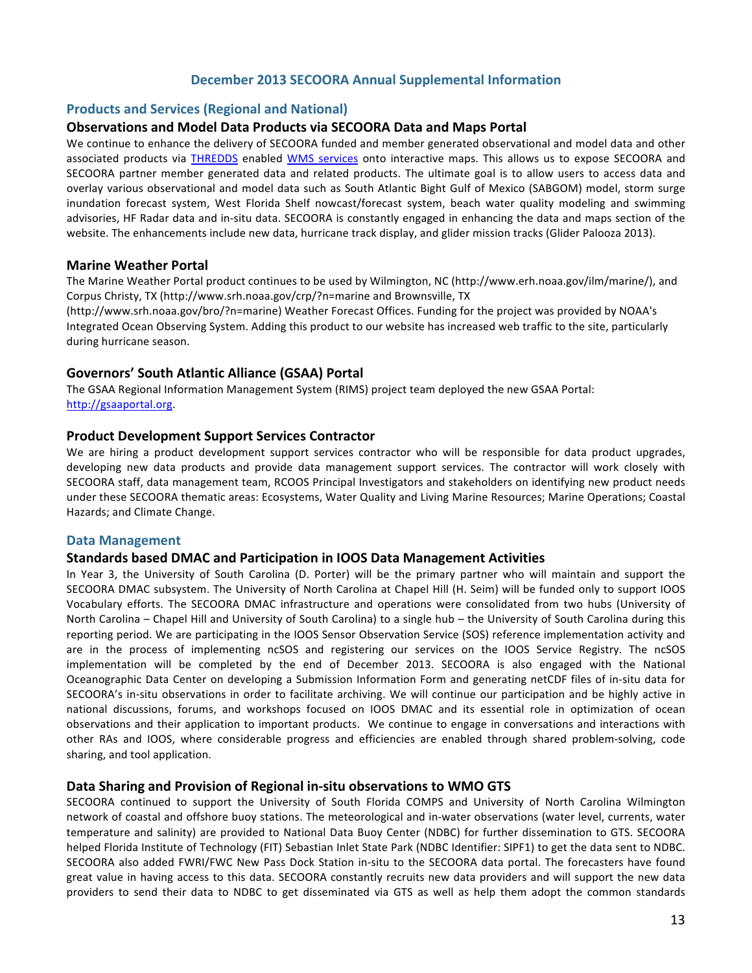## December 2013 SECOORA Annual Supplemental Information

#### **Products and Services (Regional and National)**

#### **Observations)and)Model)Data)Products)via)SECOORA)Data)and)Maps)Portal**

We continue to enhance the delivery of SECOORA funded and member generated observational and model data and other associated products via THREDDS enabled WMS services onto interactive maps. This allows us to expose SECOORA and SECOORA partner member generated data and related products. The ultimate goal is to allow users to access data and overlay various observational and model data such as South Atlantic Bight Gulf of Mexico (SABGOM) model, storm surge inundation forecast system, West Florida Shelf nowcast/forecast system, beach water quality modeling and swimming advisories, HF Radar data and in-situ data. SECOORA is constantly engaged in enhancing the data and maps section of the website. The enhancements include new data, hurricane track display, and glider mission tracks (Glider Palooza 2013).

#### **Marine Weather Portal**

The Marine Weather Portal product continues to be used by Wilmington, NC (http://www.erh.noaa.gov/ilm/marine/), and Corpus Christy, TX (http://www.srh.noaa.gov/crp/?n=marine and Brownsville, TX

(http://www.srh.noaa.gov/bro/?n=marine) Weather Forecast Offices. Funding for the project was provided by NOAA's Integrated Ocean Observing System. Adding this product to our website has increased web traffic to the site, particularly during hurricane season.

## Governors' South Atlantic Alliance (GSAA) Portal

The GSAA Regional Information Management System (RIMS) project team deployed the new GSAA Portal: http://gsaaportal.org.!

#### **Product Development Support Services Contractor**

We are hiring a product development support services contractor who will be responsible for data product upgrades, developing new data products and provide data management support services. The contractor will work closely with SECOORA staff, data management team, RCOOS Principal Investigators and stakeholders on identifying new product needs under these SECOORA thematic areas: Ecosystems, Water Quality and Living Marine Resources; Marine Operations; Coastal Hazards; and Climate Change.

#### **Data Management**

#### **Standards)based)DMAC)and)Participation)in)IOOS)Data)Management)Activities**

In Year 3, the University of South Carolina (D. Porter) will be the primary partner who will maintain and support the SECOORA DMAC subsystem. The University of North Carolina at Chapel Hill (H. Seim) will be funded only to support IOOS Vocabulary efforts. The SECOORA DMAC infrastructure and operations were consolidated from two hubs (University of North Carolina – Chapel Hill and University of South Carolina) to a single hub – the University of South Carolina during this reporting period. We are participating in the IOOS Sensor Observation Service (SOS) reference implementation activity and are in the process of implementing ncSOS and registering our services on the IOOS Service Registry. The ncSOS implementation will be completed by the end of December 2013. SECOORA is also engaged with the National Oceanographic Data Center on developing a Submission Information Form and generating netCDF files of in-situ data for SECOORA's in-situ observations in order to facilitate archiving. We will continue our participation and be highly active in national discussions, forums, and workshops focused on IOOS DMAC and its essential role in optimization of ocean observations and their application to important products. We continue to engage in conversations and interactions with other RAs and IOOS, where considerable progress and efficiencies are enabled through shared problem-solving, code sharing, and tool application.

#### Data Sharing and Provision of Regional in-situ observations to WMO GTS

SECOORA continued to support the University of South Florida COMPS and University of North Carolina Wilmington network of coastal and offshore buoy stations. The meteorological and in-water observations (water level, currents, water temperature and salinity) are provided to National Data Buoy Center (NDBC) for further dissemination to GTS. SECOORA helped Florida Institute of Technology (FIT) Sebastian Inlet State Park (NDBC Identifier: SIPF1) to get the data sent to NDBC. SECOORA also added FWRI/FWC New Pass Dock Station in-situ to the SECOORA data portal. The forecasters have found great value in having access to this data. SECOORA constantly recruits new data providers and will support the new data providers to send their data to NDBC to get disseminated via GTS as well as help them adopt the common standards